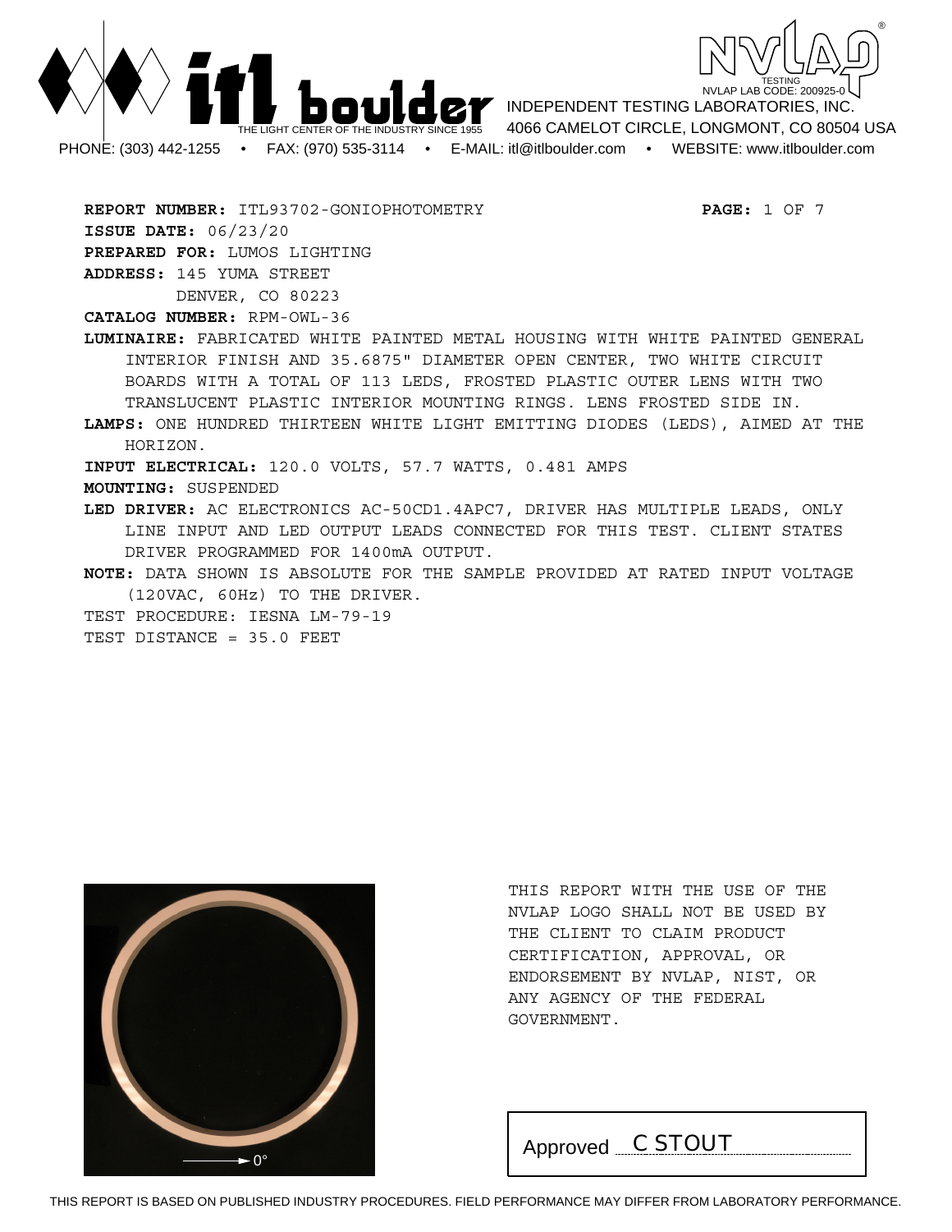



**REPORT NUMBER:** ITL93702-GONIOPHOTOMETRY **PAGE:** 1 OF 7 **ISSUE DATE:** 06/23/20 **PREPARED FOR:** LUMOS LIGHTING **ADDRESS:** 145 YUMA STREET DENVER, CO 80223

**CATALOG NUMBER:** RPM-OWL-36

**LUMINAIRE:** FABRICATED WHITE PAINTED METAL HOUSING WITH WHITE PAINTED GENERAL INTERIOR FINISH AND 35.6875" DIAMETER OPEN CENTER, TWO WHITE CIRCUIT BOARDS WITH A TOTAL OF 113 LEDS, FROSTED PLASTIC OUTER LENS WITH TWO TRANSLUCENT PLASTIC INTERIOR MOUNTING RINGS. LENS FROSTED SIDE IN.

**LAMPS:** ONE HUNDRED THIRTEEN WHITE LIGHT EMITTING DIODES (LEDS), AIMED AT THE HORIZON.

**INPUT ELECTRICAL:** 120.0 VOLTS, 57.7 WATTS, 0.481 AMPS

**MOUNTING:** SUSPENDED

**LED DRIVER:** AC ELECTRONICS AC-50CD1.4APC7, DRIVER HAS MULTIPLE LEADS, ONLY LINE INPUT AND LED OUTPUT LEADS CONNECTED FOR THIS TEST. CLIENT STATES DRIVER PROGRAMMED FOR 1400mA OUTPUT.

**NOTE:** DATA SHOWN IS ABSOLUTE FOR THE SAMPLE PROVIDED AT RATED INPUT VOLTAGE (120VAC, 60Hz) TO THE DRIVER.

TEST PROCEDURE: IESNA LM-79-19

TEST DISTANCE = 35.0 FEET



THIS REPORT WITH THE USE OF THE NVLAP LOGO SHALL NOT BE USED BY THE CLIENT TO CLAIM PRODUCT CERTIFICATION, APPROVAL, OR ENDORSEMENT BY NVLAP, NIST, OR ANY AGENCY OF THE FEDERAL GOVERNMENT.

Approved *C STOUT*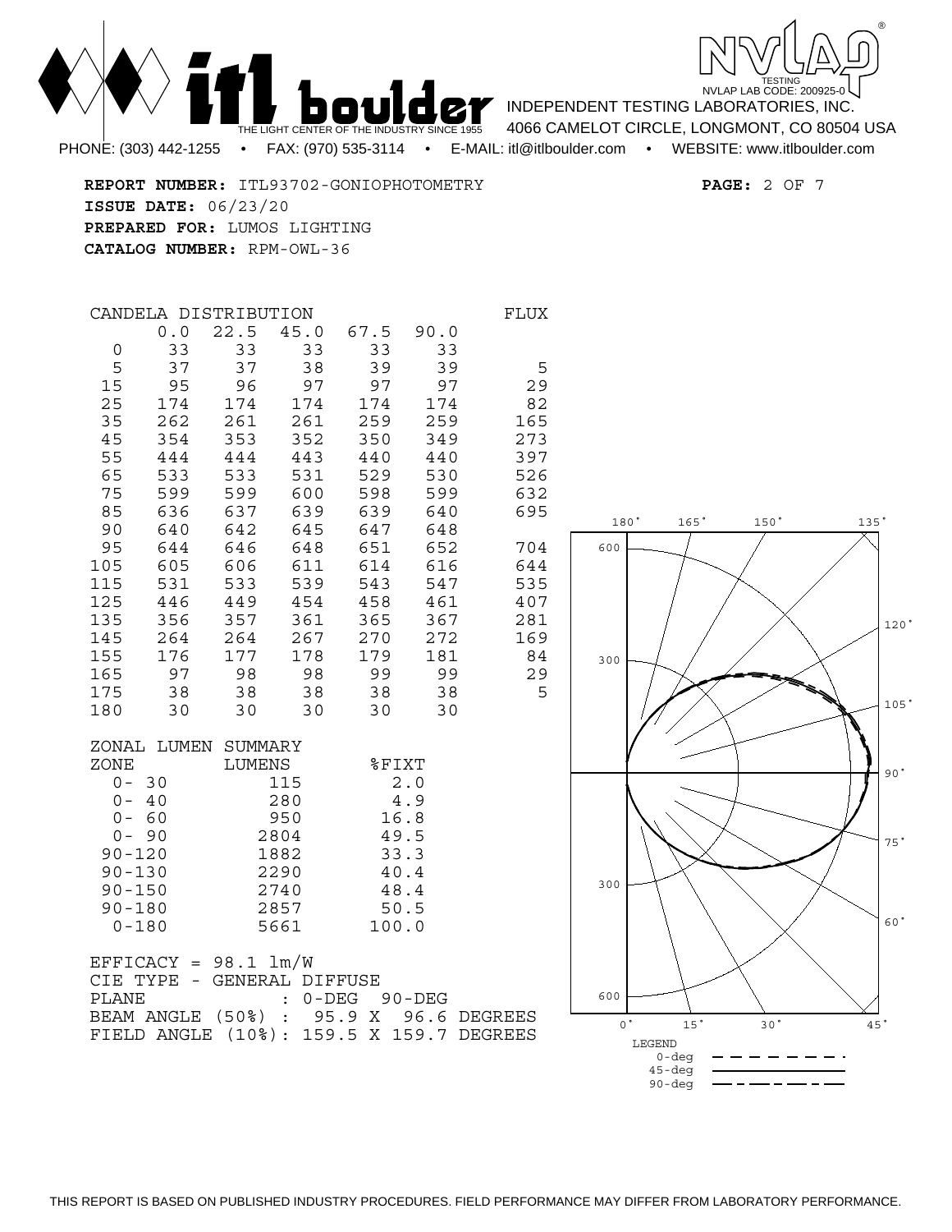

**REPORT NUMBER:** ITL93702-GONIOPHOTOMETRY **PAGE:** 2 OF 7 **ISSUE DATE:** 06/23/20 **PREPARED FOR:** LUMOS LIGHTING **CATALOG NUMBER:** RPM-OWL-36

THE LIGHT CENT

|             | CANDELA DISTRIBUTION |            |            |                  |            | FLUX |
|-------------|----------------------|------------|------------|------------------|------------|------|
|             | 0.0                  | 22.5       | 45.0       | 67.5             | 90.0       |      |
| 0           | 33                   | 33         | 33         | 33               | 33         |      |
| 5           | 37                   | 37         | 38         | 39               | 39         | 5    |
| 15          | 95                   | 96         | 97         | 97               | 97         | 29   |
| 25          | 174                  | 174        | 174        | 174              | 174        | 82   |
| 35          | 262                  | 261        | 261        | 259              | 259        | 165  |
| 45          | 354                  | 353        | 352        | 350              | 349        | 273  |
| 55          | 444                  | 444        | 443        | 440              | 440        | 397  |
| 65          | 533                  | 533        | 531        | 529              | 530        | 526  |
| 75          | 599                  | 599        | 600        | 598              | 599        | 632  |
| 85          | 636                  | 637        | 639        | 639              | 640        | 695  |
| 90<br>95    | 640<br>644           | 642<br>646 | 645<br>648 | 647<br>651       | 648<br>652 | 704  |
| 105         | 605                  | 606        | 611        | 614              | 616        | 644  |
| 115         | 531                  | 533        | 539        | 543              | 547        | 535  |
| 125         | 446                  | 449        | 454        | 458              | 461        | 407  |
| 135         | 356                  | 357        | 361        | 365              | 367        | 281  |
| 145         | 264                  | 264        | 267        | 270              | 272        | 169  |
| 155         | 176                  | 177        | 178        | 179              | 181        | 84   |
| 165         | 97                   | 98         | 98         | 99               | 99         | 29   |
| 175         | 38                   | 38         | 38         | 38               | 38         | 5    |
| 180         | 30                   | 30         | 30         | 30               | 30         |      |
|             | ZONAL LUMEN SUMMARY  |            |            |                  |            |      |
| ZONE        |                      | LUMENS     |            | <b>&amp;FIXT</b> |            |      |
| $0 -$<br>30 |                      |            | 115        |                  | 2.0        |      |
| $0 -$       | -40                  |            | 280        |                  | 4.9        |      |
| $0 -$       | -60                  |            | 950        |                  | 16.8       |      |
| $0 - 90$    |                      |            | 2804       | 49.5             |            |      |
| $90 - 120$  |                      |            | 1882       | 33.3             |            |      |
| $90 - 130$  |                      |            | 2290       | 40.4             |            |      |

90-150 2740 48.4

0-180 5661 100.0

PLANE : 0-DEG 90-DEG

 $EFFICK = 98.1 lm/W$ 

CIE TYPE - GENERAL DIFFUSE

 $90 - 180$ 



180° 165° 150° 135°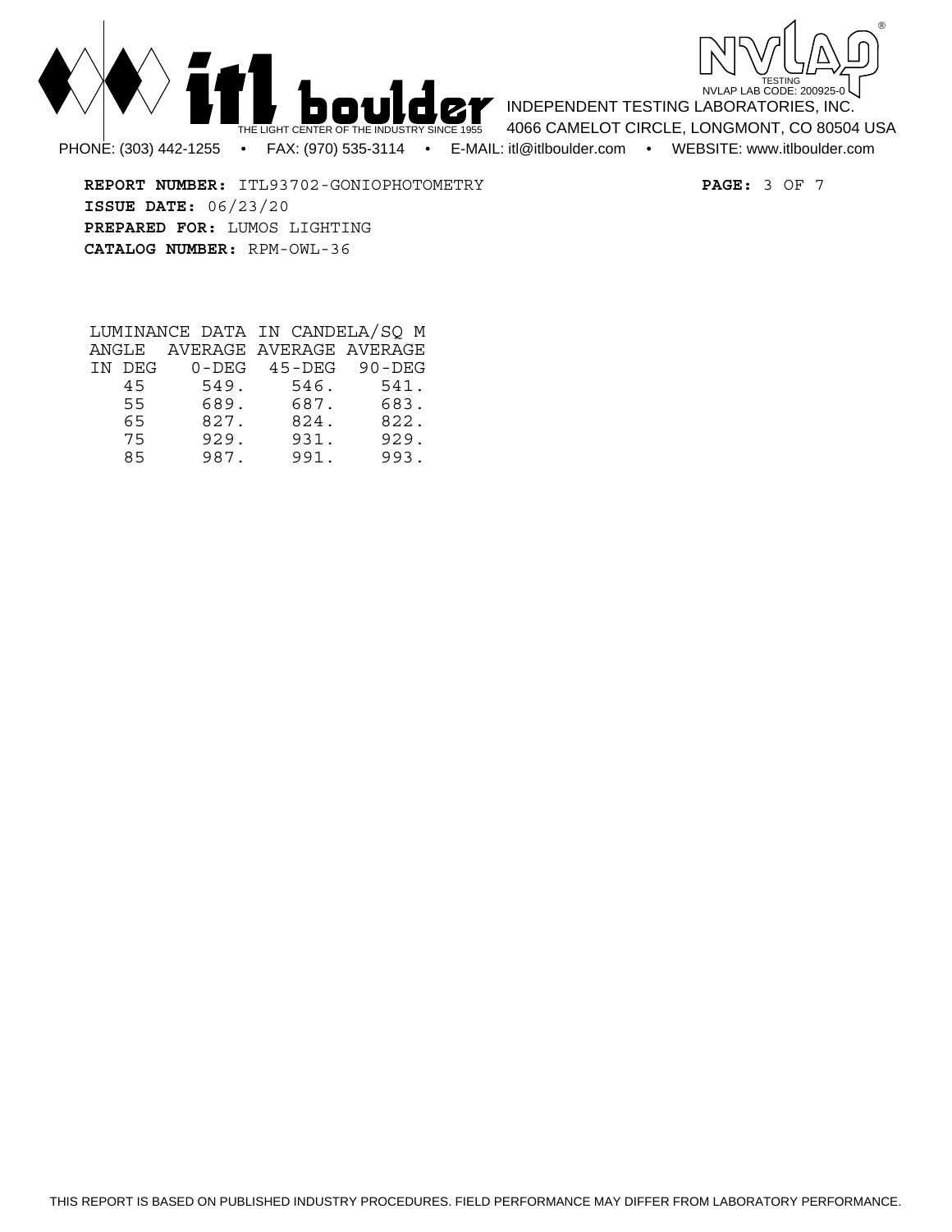



**REPORT NUMBER:** ITL93702-GONIOPHOTOMETRY **PAGE:** 3 OF 7 **ISSUE DATE:** 06/23/20 **PREPARED FOR:** LUMOS LIGHTING **CATALOG NUMBER:** RPM-OWL-36

|        |      | LUMINANCE DATA IN CANDELA/SO M |      |
|--------|------|--------------------------------|------|
|        |      | ANGLE AVERAGE AVERAGE AVERAGE  |      |
| IN DEG |      | $0$ -DEG 45-DEG 90-DEG         |      |
| 45     | 549. | 546.                           | 541. |
| 55     | 689. | 687.                           | 683. |
| 65     | 827. | 824.                           | 822. |
| 75     | 929. | 931.                           | 929. |
| 85     | 987. | 991.                           | 993. |

THIS REPORT IS BASED ON PUBLISHED INDUSTRY PROCEDURES. FIELD PERFORMANCE MAY DIFFER FROM LABORATORY PERFORMANCE.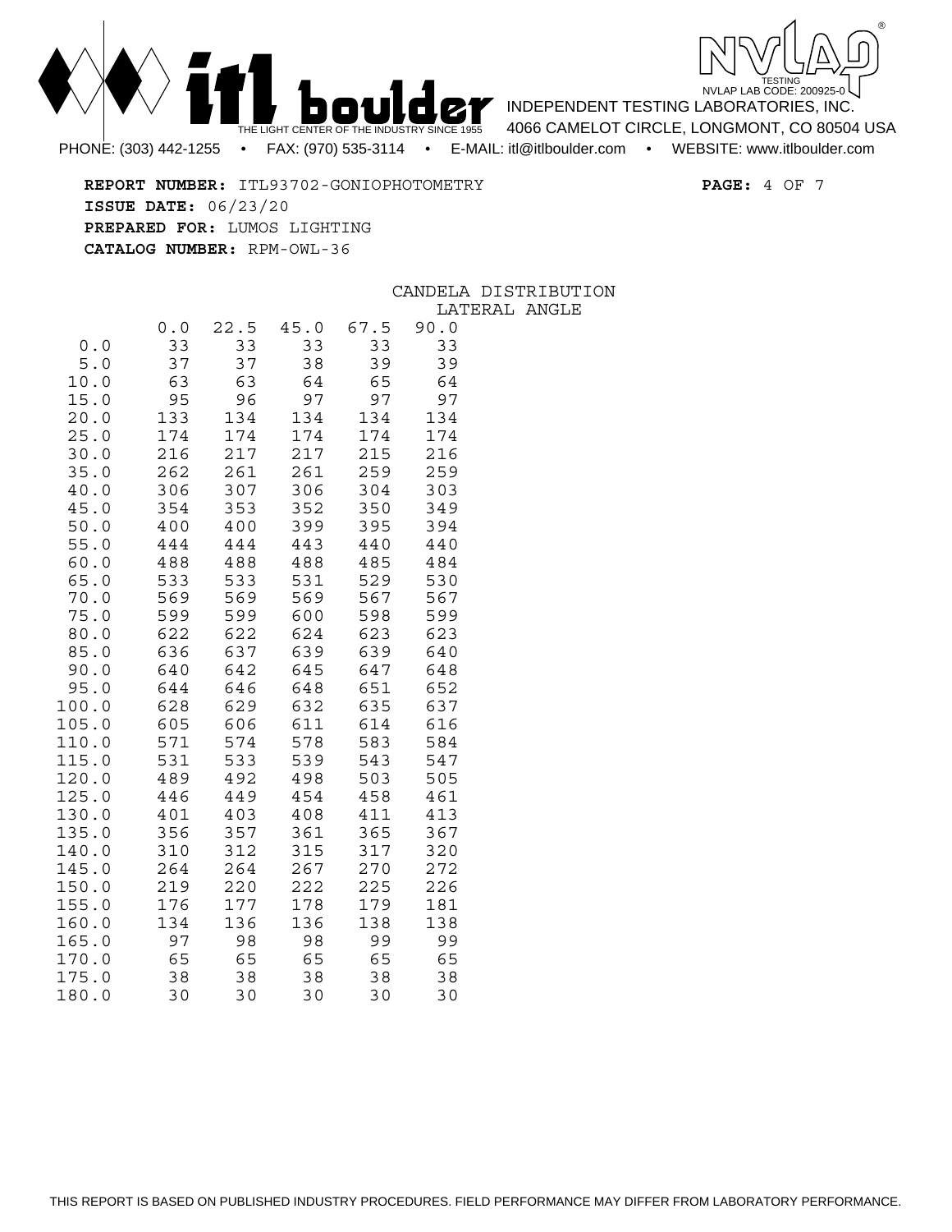



PHONE: (303) 442-1255 • FAX: (970) 535-3114 • E-MAIL: itl@itlboulder.com • WEBSITE: www.itlboulder.com

INDEPENDENT TESTING LABORATORIES, INC. 4066 CAMELOT CIRCLE, LONGMONT, CO 80504 USA

**REPORT NUMBER:** ITL93702-GONIOPHOTOMETRY **PAGE:** 4 OF 7 **ISSUE DATE:** 06/23/20 **PREPARED FOR:** LUMOS LIGHTING **CATALOG NUMBER:** RPM-OWL-36

## CANDELA DISTRIBUTION

|                     |            |            |            |            | ᅭᅐ         |
|---------------------|------------|------------|------------|------------|------------|
|                     | 0.0        | 22.5       | 45.0       | 67.5       | 90.0       |
| 0.0                 | 33         | 33         | 33         | 33         | 33         |
| 5.0                 | 37         | 37         | 38         | 39         | 39         |
| 10.0                | 63         | 63         | 64         | 65         | 64         |
| 15.0                | 95         | 96         | 97         | 97         | 97         |
| 20.0                | 133        | 134        | 134        | 134        | 134        |
| 25.0                | 174        | 174        | 174        | 174        | 174        |
| 30.0                | 216        | 217        | 217        | 215        | 216        |
| 35.0                | 262        | 261        | 261        | 259        | 259        |
| 40.0                | 306        | 307        | 306        | 304        | 303        |
| 45.0                | 354        | 353        | 352        | 350        | 349        |
| 50.0                | 400        | 400        | 399        | 395        | 394        |
| 55.0                | 444        | 444        | 443        | 440        | 440        |
| 60.0                | 488        | 488        | 488        | 485        | 484        |
| 65.0                | 533        | 533        | 531        | 529        | 530        |
| 70.0<br>75.0        | 569        | 569        | 569        | 567        | 567        |
| 80.0                | 599<br>622 | 599<br>622 | 600<br>624 | 598<br>623 | 599<br>623 |
| 85.0                | 636        | 637        | 639        | 639        | 640        |
| 90.0                | 640        | 642        | 645        | 647        | 648        |
| 95.0                | 644        | 646        | 648        | 651        | 652        |
| 100.0               | 628        | 629        | 632        | 635        | 637        |
| 105.0               | 605        | 606        | 611        | 614        | 616        |
| 110.0               | 571        | 574        | 578        | 583        | 584        |
| 115.0               | 531        | 533        | 539        | 543        | 547        |
| 120.0               | 489        | 492        | 498        | 503        | 505        |
| 125.0               | 446        | 449        | 454        | 458        | 461        |
| 130.0               | 401        | 403        | 408        | 411        | 413        |
| 135.0               | 356        | 357        | 361        | 365        | 367        |
| 140.0               | 310        | 312        | 315        | 317        | 320        |
| 145.0               | 264        | 264        | 267        | 270        | 272        |
| 150.0               | 219        | 220        | 222        | 225        | 226        |
| 155.0               | 176        | 177        | 178        | 179        | 181        |
| 160.0               | 134        | 136        | 136        | 138        | 138        |
| 165.<br>0           | 97         | 98         | 98         | 99         | 99         |
| 170.<br>$\mathbf 0$ | 65         | 65         | 65         | 65         | 65         |
| 175.<br>$\mathbf 0$ | 38         | 38         | 38         | 38         | 38         |
| 180.0               | 30         | 30         | 30         | 30         | 30         |

LATERAL ANGLE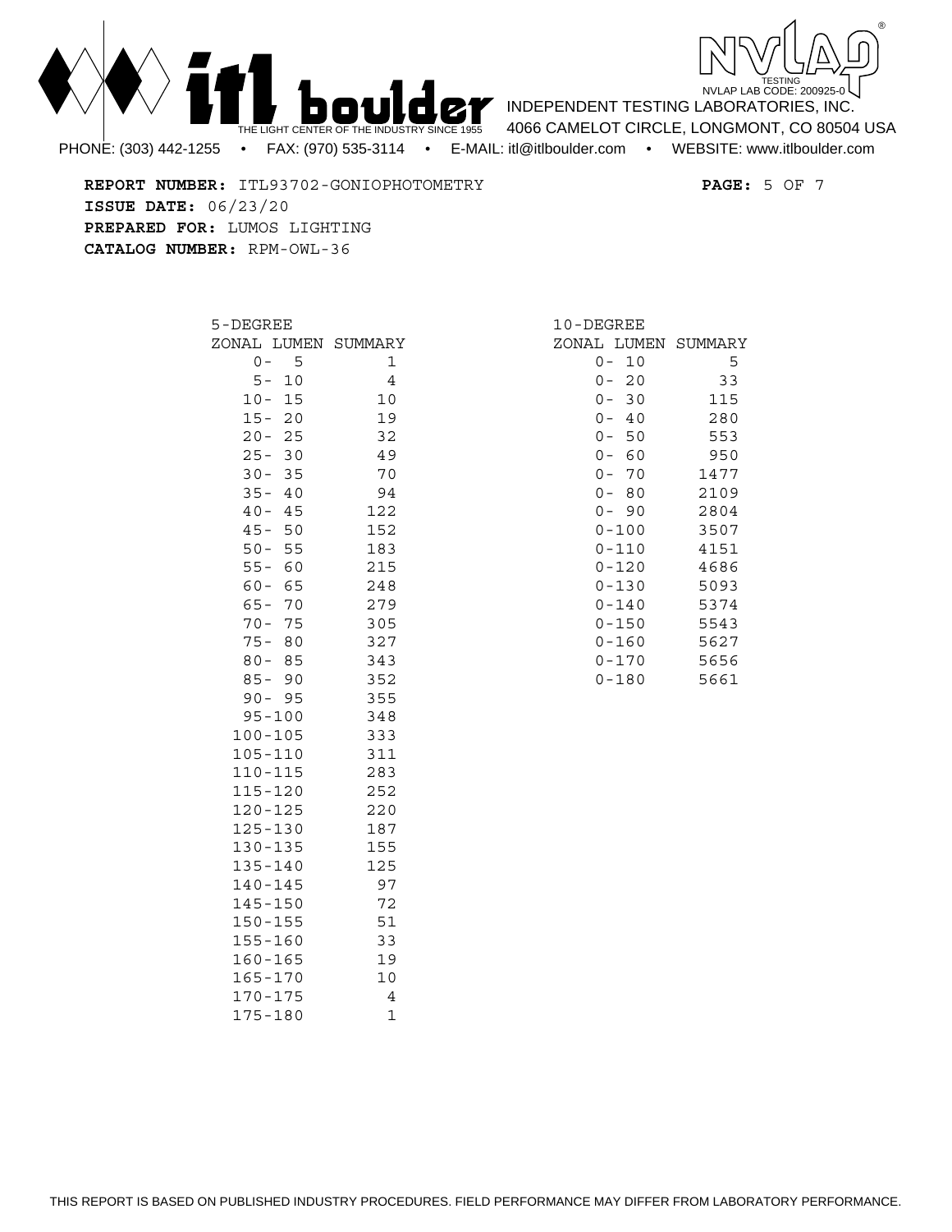



INDEPENDENT TESTING LABORATORIES, INC. 4066 CAMELOT CIRCLE, LONGMONT, CO 80504 USA

**REPORT NUMBER:** ITL93702-GONIOPHOTOMETRY **PAGE:** 5 OF 7 **ISSUE DATE:** 06/23/20 **PREPARED FOR:** LUMOS LIGHTING **CATALOG NUMBER:** RPM-OWL-36

| 5-DEGREE            |    |                     |  |  |  |  |  |  |  |
|---------------------|----|---------------------|--|--|--|--|--|--|--|
|                     |    | ZONAL LUMEN SUMMARY |  |  |  |  |  |  |  |
| 0 -                 | 5  | 1                   |  |  |  |  |  |  |  |
| $5-$                | 10 | 4                   |  |  |  |  |  |  |  |
| $10 -$              | 15 | 10                  |  |  |  |  |  |  |  |
| $15 -$              | 20 | 19                  |  |  |  |  |  |  |  |
| $20 -$              | 25 | 32                  |  |  |  |  |  |  |  |
| $25 -$              | 30 | 49                  |  |  |  |  |  |  |  |
| $30 -$              | 35 | 70                  |  |  |  |  |  |  |  |
| $35 -$              | 40 | 94                  |  |  |  |  |  |  |  |
| $40 -$              | 45 | 122                 |  |  |  |  |  |  |  |
| $45 -$              | 50 | 152                 |  |  |  |  |  |  |  |
| $50 -$              | 55 | 183                 |  |  |  |  |  |  |  |
| $55 -$              | 60 | 215                 |  |  |  |  |  |  |  |
| $60 - 65$           |    | 248                 |  |  |  |  |  |  |  |
| $65 -$<br>$70 - 75$ | 70 | 279                 |  |  |  |  |  |  |  |
| $75 -$              | 80 | 305                 |  |  |  |  |  |  |  |
| $80 - 85$           |    | 327<br>343          |  |  |  |  |  |  |  |
| $85 - 90$           |    | 352                 |  |  |  |  |  |  |  |
| $90 -$              | 95 | 355                 |  |  |  |  |  |  |  |
| $95 - 100$          |    | 348                 |  |  |  |  |  |  |  |
| $100 - 105$         |    | 333                 |  |  |  |  |  |  |  |
| $105 - 110$         |    | 311                 |  |  |  |  |  |  |  |
| $110 - 115$         |    | 283                 |  |  |  |  |  |  |  |
| 115-120             |    | 252                 |  |  |  |  |  |  |  |
| $120 - 125$         |    | 220                 |  |  |  |  |  |  |  |
| $125 - 130$         |    | 187                 |  |  |  |  |  |  |  |
| 130-135             |    | 155                 |  |  |  |  |  |  |  |
| $135 - 140$         |    | 125                 |  |  |  |  |  |  |  |
| $140 - 145$         |    | 97                  |  |  |  |  |  |  |  |
| $145 - 150$         |    | 72                  |  |  |  |  |  |  |  |
| $150 - 155$         |    | 51                  |  |  |  |  |  |  |  |
| 155-160             |    | 33                  |  |  |  |  |  |  |  |
| 160-165             |    | 19                  |  |  |  |  |  |  |  |
| $165 - 170$         |    | 10                  |  |  |  |  |  |  |  |
| $170 - 175$         |    | 4                   |  |  |  |  |  |  |  |
| 175-180             |    | 1                   |  |  |  |  |  |  |  |

| 10-DEGREE   |      |         |
|-------------|------|---------|
| ZONAL LUMEN |      | SUMMARY |
| 0           | 10   | 5       |
| 0 –         | 20   | 33      |
| 0 –         | 30   | 115     |
| 0 –         | - 40 | 280     |
| 0 –         | 50   | 553     |
| 0 –         | - 60 | 950     |
| $0 -$       | 70   | 1477    |
| 0 –         | 80   | 2109    |
| $0 -$       | 90   | 2804    |
| $0 - 100$   |      | 3507    |
| 0-110       |      | 4151    |
| 0-120       |      | 4686    |
| $0 - 130$   |      | 5093    |
| 0-140       |      | 5374    |
| $0 - 150$   |      | 5543    |
| $0 - 160$   |      | 5627    |
| $0 - 170$   |      | 5656    |
| 0-180       |      | 5661    |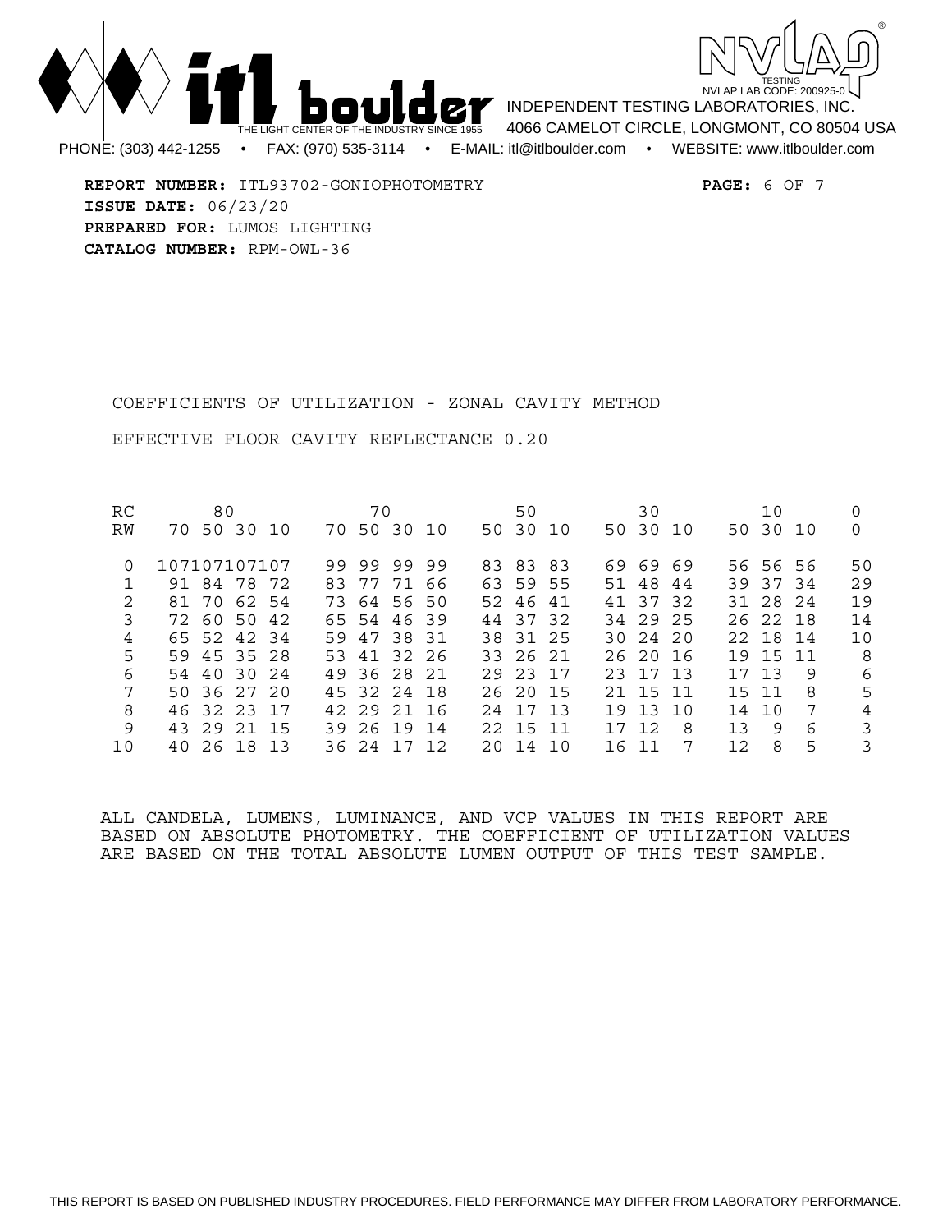



**REPORT NUMBER:** ITL93702-GONIOPHOTOMETRY **PAGE:** 6 OF 7 **ISSUE DATE:** 06/23/20 **PREPARED FOR:** LUMOS LIGHTING **CATALOG NUMBER:** RPM-OWL-36

COEFFICIENTS OF UTILIZATION - ZONAL CAVITY METHOD

EFFECTIVE FLOOR CAVITY REFLECTANCE 0.20

| RC            |              | 80 |             |     | 70          |          |  | 50         |  |    | 30         |    |     | 10       |    |                |
|---------------|--------------|----|-------------|-----|-------------|----------|--|------------|--|----|------------|----|-----|----------|----|----------------|
| RW            |              |    | 70 50 30 10 |     | 70 50 30 10 |          |  | 50 30 10   |  |    | 50 30 10   |    |     | 50 30 10 |    | 0              |
| 0             | 107107107107 |    |             |     | 99 99 99 99 |          |  | 83 83 83   |  |    | 69 69 69   |    |     | 56 56 56 |    | 50             |
|               |              |    | 91 84 78 72 | 83. |             | 77 71 66 |  | 63 59 55   |  |    | 51 48 44   |    |     | 39 37 34 |    | 29             |
| $\mathcal{L}$ |              |    | 81 70 62 54 |     | 73 64 56 50 |          |  | 52 46 41   |  |    | 41 37 32   |    |     | 31 28 24 |    | 19             |
| 3             |              |    | 72 60 50 42 |     | 65 54 46 39 |          |  | 44 37 32   |  |    | 34 29 25   |    |     | 26 22 18 |    | 14             |
| 4             |              |    | 65 52 42 34 |     | 59 47 38 31 |          |  | 38 31 25   |  |    | 30, 24, 20 |    |     | 22 18 14 |    | 10             |
| 5             |              |    | 59 45 35 28 |     | 53 41 32 26 |          |  | 33 26 21   |  |    | 26 20 16   |    |     | 19 15 11 |    | - 8            |
| 6             |              |    | 54 40 30 24 |     | 49 36 28 21 |          |  | 29 23 17   |  |    | 23 17 13   |    |     | 17 13    | -9 | 6              |
| 7             |              |    | 50 36 27 20 |     | 45 32 24 18 |          |  | 26 20 15   |  |    | 21 15 11   |    |     | 15 11    | -8 | 5              |
| 8             |              |    | 46 32 23 17 |     | 42 29 21 16 |          |  | 24 17 13   |  |    | 19 13 10   |    |     | 14 10    | -7 | $\overline{4}$ |
| 9             |              |    | 43 29 21 15 |     | 39 26 19 14 |          |  | 22 15 11   |  |    | 17 12      | -8 | 13  | 9        | 6  | 3              |
| 10            |              |    | 40 26 18 13 |     | 36 24 17 12 |          |  | 20, 14, 10 |  | 16 | - 11       | -7 | 12. | 8        | 5  | 3              |

ALL CANDELA, LUMENS, LUMINANCE, AND VCP VALUES IN THIS REPORT ARE BASED ON ABSOLUTE PHOTOMETRY. THE COEFFICIENT OF UTILIZATION VALUES ARE BASED ON THE TOTAL ABSOLUTE LUMEN OUTPUT OF THIS TEST SAMPLE.